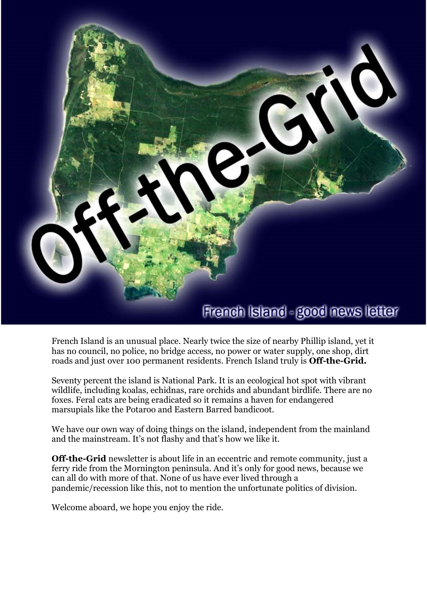

French Island is an unusual place. Nearly twice the size of nearby Phillip island, yet it has no council, no police, no bridge access, no power or water supply, one shop, dirt roads and just over 100 permanent residents. French Island truly is **Off-the-Grid.**

Seventy percent the island is National Park. It is an ecological hot spot with vibrant wildlife, including koalas, echidnas, rare orchids and abundant birdlife. There are no foxes. Feral cats are being eradicated so it remains a haven for endangered marsupials like the Potaroo and Eastern Barred bandicoot.

We have our own way of doing things on the island, independent from the mainland and the mainstream. It's not flashy and that's how we like it.

**Off-the-Grid** newsletter is about life in an eccentric and remote community, just a ferry ride from the Mornington peninsula. And it's only for good news, because we can all do with more of that. None of us have ever lived through a pandemic/recession like this, not to mention the unfortunate politics of division.

Welcome aboard, we hope you enjoy the ride.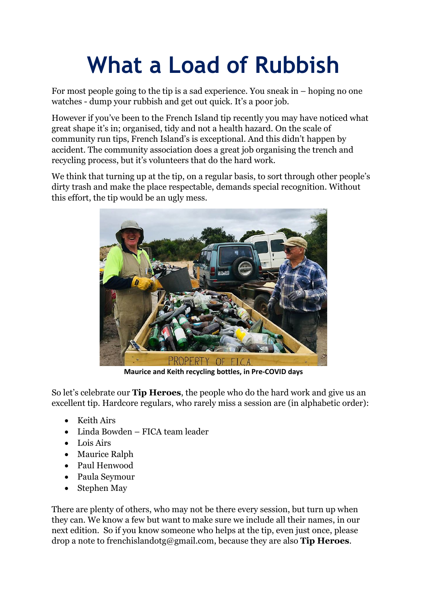# **What a Load of Rubbish**

For most people going to the tip is a sad experience. You sneak in – hoping no one watches - dump your rubbish and get out quick. It's a poor job.

However if you've been to the French Island tip recently you may have noticed what great shape it's in; organised, tidy and not a health hazard. On the scale of community run tips, French Island's is exceptional. And this didn't happen by accident. The community association does a great job organising the trench and recycling process, but it's volunteers that do the hard work.

We think that turning up at the tip, on a regular basis, to sort through other people's dirty trash and make the place respectable, demands special recognition. Without this effort, the tip would be an ugly mess.



**Maurice and Keith recycling bottles, in Pre-COVID days**

So let's celebrate our **Tip Heroes**, the people who do the hard work and give us an excellent tip. Hardcore regulars, who rarely miss a session are (in alphabetic order):

- Keith Airs
- Linda Bowden FICA team leader
- Lois Airs
- Maurice Ralph
- Paul Henwood
- Paula Seymour
- Stephen May

There are plenty of others, who may not be there every session, but turn up when they can. We know a few but want to make sure we include all their names, in our next edition. So if you know someone who helps at the tip, even just once, please drop a note to [frenchislandotg@gmail.com,](mailto:frenchislandotg@gmail.com) because they are also **Tip Heroes**.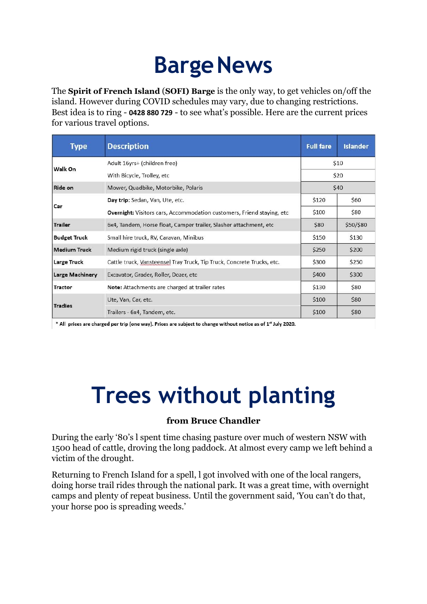### **BargeNews**

The **Spirit of French Island** (**SOFI) Barge** is the only way, to get vehicles on/off the island. However during COVID schedules may vary, due to changing restrictions. Best idea is to ring - **0428 880 729** - to see what's possible. Here are the current prices for various travel options.

| <b>Type</b>            | <b>Description</b>                                                            | <b>Full fare</b> | <b>Islander</b> |
|------------------------|-------------------------------------------------------------------------------|------------------|-----------------|
| Walk On                | Adult 16yrs+ (children free)                                                  | \$10             |                 |
|                        | With Bicycle, Trolley, etc.                                                   | \$20             |                 |
| Ride on                | Mower, Quadbike, Motorbike, Polaris                                           | \$40             |                 |
| Car                    | Day trip: Sedan, Van, Ute, etc.                                               | \$120            | \$60            |
|                        | <b>Overnight:</b> Visitors cars, Accommodation customers, Friend staying, etc | \$100            | \$80            |
| <b>Trailer</b>         | 6x4, Tandem, Horse float, Camper trailer, Slasher attachment, etc             | \$80             | \$50/\$80       |
| <b>Budget Truck</b>    | Small hire truck, RV, Caravan, Minibus                                        | \$150            | \$130           |
| <b>Medium Truck</b>    | Medium rigid truck (single axle)                                              | \$250            | \$200           |
| Large Truck            | Cattle truck, Vansteensel Tray Truck, Tip Truck, Concrete Trucks, etc.        | \$300            | \$250           |
| <b>Large Machinery</b> | Excavator, Grader, Roller, Dozer, etc                                         | \$400            | \$300           |
| <b>Tractor</b>         | Note: Attachments are charged at trailer rates                                | \$130            | \$80            |
| <b>Tradies</b>         | Ute, Van, Car, etc.                                                           | \$100            | \$80            |
|                        | Trailers - 6x4, Tandem, etc.                                                  | \$100            | \$80            |

\* All prices are charged per trip (one way). Prices are subject to change without notice as of 1st July 2020.

#### **Trees without planting**

#### **from Bruce Chandler**

During the early '80's l spent time chasing pasture over much of western NSW with 1500 head of cattle, droving the long paddock. At almost every camp we left behind a victim of the drought.

Returning to French Island for a spell, l got involved with one of the local rangers, doing horse trail rides through the national park. It was a great time, with overnight camps and plenty of repeat business. Until the government said, 'You can't do that, your horse poo is spreading weeds.'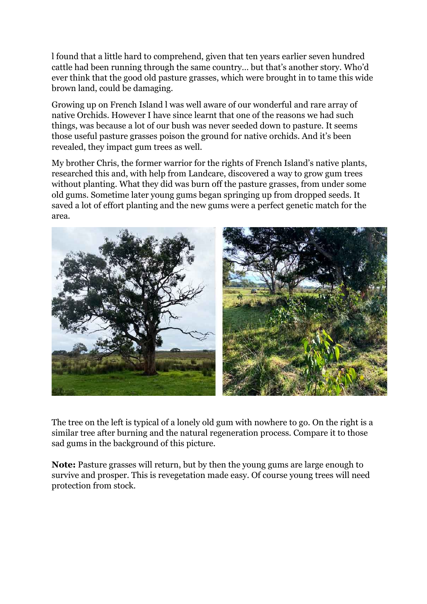l found that a little hard to comprehend, given that ten years earlier seven hundred cattle had been running through the same country… but that's another story. Who'd ever think that the good old pasture grasses, which were brought in to tame this wide brown land, could be damaging.

Growing up on French Island l was well aware of our wonderful and rare array of native Orchids. However I have since learnt that one of the reasons we had such things, was because a lot of our bush was never seeded down to pasture. It seems those useful pasture grasses poison the ground for native orchids. And it's been revealed, they impact gum trees as well.

My brother Chris, the former warrior for the rights of French Island's native plants, researched this and, with help from Landcare, discovered a way to grow gum trees without planting. What they did was burn off the pasture grasses, from under some old gums. Sometime later young gums began springing up from dropped seeds. It saved a lot of effort planting and the new gums were a perfect genetic match for the area.



The tree on the left is typical of a lonely old gum with nowhere to go. On the right is a similar tree after burning and the natural regeneration process. Compare it to those sad gums in the background of this picture.

**Note:** Pasture grasses will return, but by then the young gums are large enough to survive and prosper. This is revegetation made easy. Of course young trees will need protection from stock.